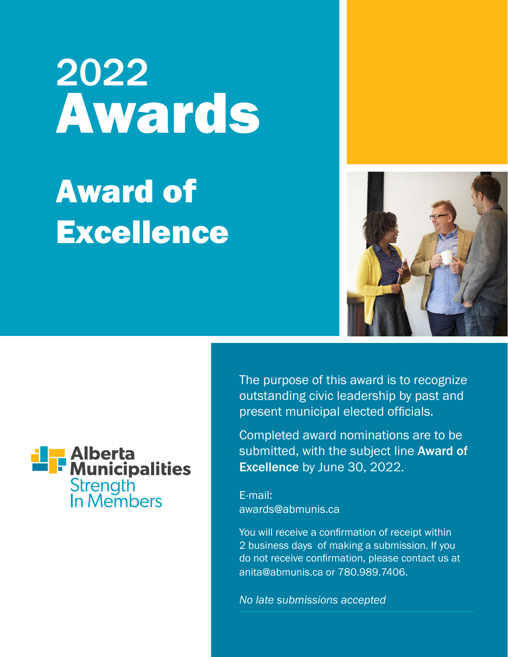# 2022 Awards

## Award of **Excellence**



The purpose of this award is to recognize outstanding civic leadership by past and present municipal elected officials.

Completed award nominations are to be submitted, with the subject line Award of Excellence by June 30, 2022.

E-mail: awards@abmunis.ca

You will receive a confirmation of receipt within 2 business days of making a submission. If you do not receive confirmation, please contact us at anita@abmunis.ca or 780.989.7406.

*No late submissions accepted*

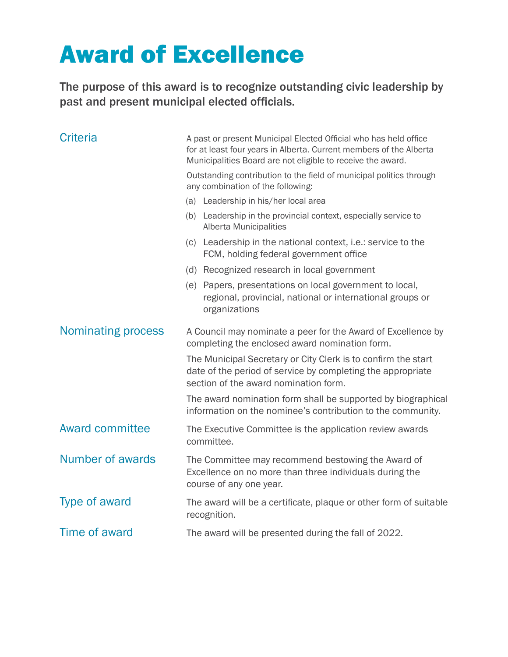### Award of Excellence

The purpose of this award is to recognize outstanding civic leadership by past and present municipal elected officials.

| <b>Criteria</b>        | A past or present Municipal Elected Official who has held office<br>for at least four years in Alberta. Current members of the Alberta<br>Municipalities Board are not eligible to receive the award. |  |
|------------------------|-------------------------------------------------------------------------------------------------------------------------------------------------------------------------------------------------------|--|
|                        | Outstanding contribution to the field of municipal politics through<br>any combination of the following:                                                                                              |  |
|                        | (a) Leadership in his/her local area                                                                                                                                                                  |  |
|                        | (b) Leadership in the provincial context, especially service to<br><b>Alberta Municipalities</b>                                                                                                      |  |
|                        | (c) Leadership in the national context, i.e.: service to the<br>FCM, holding federal government office                                                                                                |  |
|                        | (d) Recognized research in local government                                                                                                                                                           |  |
|                        | (e) Papers, presentations on local government to local,<br>regional, provincial, national or international groups or<br>organizations                                                                 |  |
| Nominating process     | A Council may nominate a peer for the Award of Excellence by<br>completing the enclosed award nomination form.                                                                                        |  |
|                        | The Municipal Secretary or City Clerk is to confirm the start<br>date of the period of service by completing the appropriate<br>section of the award nomination form.                                 |  |
|                        | The award nomination form shall be supported by biographical<br>information on the nominee's contribution to the community.                                                                           |  |
| <b>Award committee</b> | The Executive Committee is the application review awards<br>committee.                                                                                                                                |  |
| Number of awards       | The Committee may recommend bestowing the Award of<br>Excellence on no more than three individuals during the<br>course of any one year.                                                              |  |
| Type of award          | The award will be a certificate, plaque or other form of suitable<br>recognition.                                                                                                                     |  |
| Time of award          | The award will be presented during the fall of 2022.                                                                                                                                                  |  |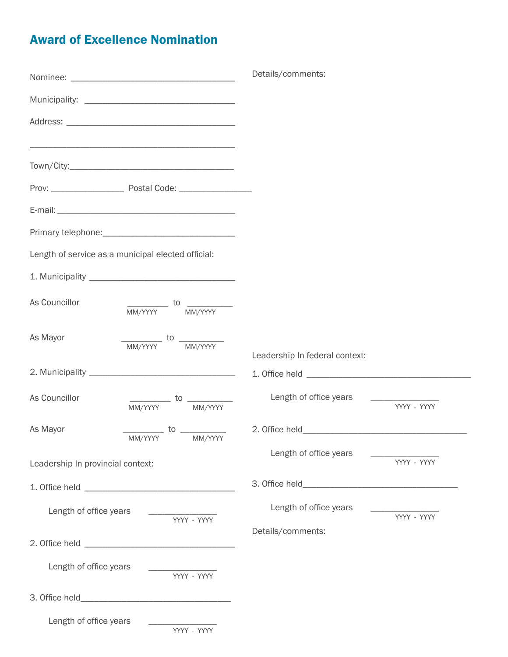#### Award of Excellence Nomination

|                                                                                      | Details/comments:                     |  |
|--------------------------------------------------------------------------------------|---------------------------------------|--|
|                                                                                      |                                       |  |
|                                                                                      |                                       |  |
|                                                                                      |                                       |  |
|                                                                                      |                                       |  |
|                                                                                      |                                       |  |
|                                                                                      |                                       |  |
|                                                                                      |                                       |  |
| Length of service as a municipal elected official:                                   |                                       |  |
|                                                                                      |                                       |  |
| As Councillor<br>$\frac{1}{\text{MM/YYYY}}$ to<br>$\frac{1}{\text{MM/YYYY}}$         |                                       |  |
| As Mayor<br>$\frac{1}{\text{MM/YYYY}}$ to $\frac{1}{\text{MM/YYYY}}$                 | Leadership In federal context:        |  |
|                                                                                      |                                       |  |
| As Councillor<br>$\frac{1}{\text{MM/YYYY}}$ to $\frac{1}{\text{MM/YYYY}}$            | Length of office years<br>YYYY - YYYY |  |
| As Mayor<br>$\frac{1}{\text{MM/YYYY}}$ to $\frac{1}{\text{MM/YYYY}}$                 | Length of office years                |  |
| Leadership In provincial context:                                                    | YYYY - YYYY                           |  |
|                                                                                      |                                       |  |
| Length of office years<br>$\begin{array}{c c} \hline \text{YYYY - YYYY} \end{array}$ | Length of office years                |  |
|                                                                                      | Details/comments:                     |  |
| Length of office years<br>YYYY - YYYY                                                |                                       |  |
|                                                                                      |                                       |  |
| Length of office years<br>YYYY - YYYY                                                |                                       |  |